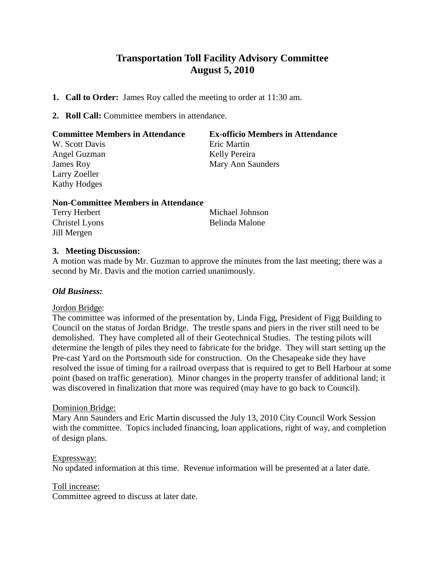# **Transportation Toll Facility Advisory Committee August 5, 2010**

- **1. Call to Order:** James Roy called the meeting to order at 11:30 am.
- **2. Roll Call:** Committee members in attendance.

| <b>Committee Members in Attendance</b> | <b>Ex-officio Members in Attendance</b> |
|----------------------------------------|-----------------------------------------|
| W. Scott Davis                         | Eric Martin                             |
| Angel Guzman                           | Kelly Pereira                           |
| James Roy                              | Mary Ann Saunders                       |
| Larry Zoeller                          |                                         |
| <b>Kathy Hodges</b>                    |                                         |
|                                        |                                         |

#### **Non-Committee Members in Attendance**

| Terry Herbert  | Michael Johnson |
|----------------|-----------------|
| Christel Lyons | Belinda Malone  |
| Jill Mergen    |                 |

## **3. Meeting Discussion:**

A motion was made by Mr. Guzman to approve the minutes from the last meeting; there was a second by Mr. Davis and the motion carried unanimously.

### *Old Business:*

#### Jordon Bridge:

The committee was informed of the presentation by, Linda Figg, President of Figg Building to Council on the status of Jordan Bridge. The trestle spans and piers in the river still need to be demolished. They have completed all of their Geotechnical Studies. The testing pilots will determine the length of piles they need to fabricate for the bridge. They will start setting up the Pre-cast Yard on the Portsmouth side for construction. On the Chesapeake side they have resolved the issue of timing for a railroad overpass that is required to get to Bell Harbour at some point (based on traffic generation). Minor changes in the property transfer of additional land; it was discovered in finalization that more was required (may have to go back to Council).

#### Dominion Bridge:

Mary Ann Saunders and Eric Martin discussed the July 13, 2010 City Council Work Session with the committee. Topics included financing, loan applications, right of way, and completion of design plans.

#### Expressway:

No updated information at this time. Revenue information will be presented at a later date.

#### Toll increase:

Committee agreed to discuss at later date.